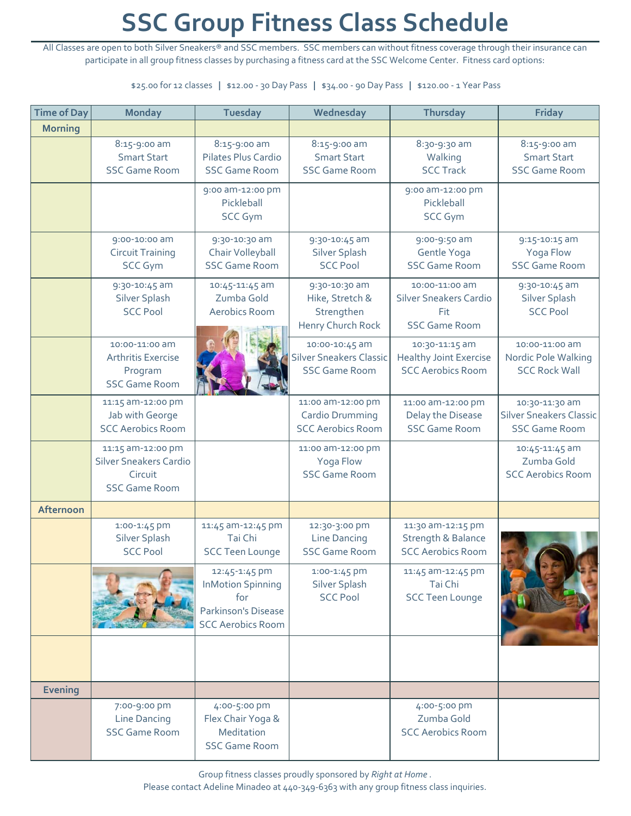## **SSC Group Fitness Class Schedule**

All Classes are open to both Silver Sneakers® and SSC members. SSC members can without fitness coverage through their insurance can participate in all group fitness classes by purchasing a fitness card at the SSC Welcome Center. Fitness card options:

\$25.00 for 12 classes **|** \$12.00 ‐ 30 Day Pass **|** \$34.00 ‐ 90 Day Pass **|** \$120.00 ‐ 1 Year Pass

| <b>Time of Day</b> | <b>Monday</b>                                                                         | <b>Tuesday</b>                                                                                      | Wednesday                                                                | <b>Thursday</b>                                                                | <b>Friday</b>                                                            |
|--------------------|---------------------------------------------------------------------------------------|-----------------------------------------------------------------------------------------------------|--------------------------------------------------------------------------|--------------------------------------------------------------------------------|--------------------------------------------------------------------------|
| <b>Morning</b>     |                                                                                       |                                                                                                     |                                                                          |                                                                                |                                                                          |
|                    | 8:15-9:00 am<br><b>Smart Start</b><br><b>SSC Game Room</b>                            | 8:15-9:00 am<br>Pilates Plus Cardio<br><b>SSC Game Room</b>                                         | 8:15-9:00 am<br><b>Smart Start</b><br><b>SSC Game Room</b>               | 8:30-9:30 am<br>Walking<br><b>SCC Track</b>                                    | 8:15-9:00 am<br><b>Smart Start</b><br><b>SSC Game Room</b>               |
|                    |                                                                                       | 9:00 am-12:00 pm<br>Pickleball<br><b>SCC Gym</b>                                                    |                                                                          | 9:00 am-12:00 pm<br>Pickleball<br><b>SCC Gym</b>                               |                                                                          |
|                    | 9:00-10:00 am<br><b>Circuit Training</b><br><b>SCC Gym</b>                            | 9:30-10:30 am<br>Chair Volleyball<br><b>SSC Game Room</b>                                           | 9:30-10:45 am<br>Silver Splash<br><b>SCC Pool</b>                        | 9:00-9:50 am<br>Gentle Yoga<br><b>SSC Game Room</b>                            | 9:15-10:15 am<br>Yoga Flow<br><b>SSC Game Room</b>                       |
|                    | 9:30-10:45 am<br>Silver Splash<br><b>SCC Pool</b>                                     | 10:45-11:45 am<br>Zumba Gold<br>Aerobics Room                                                       | 9:30-10:30 am<br>Hike, Stretch &<br>Strengthen<br>Henry Church Rock      | 10:00-11:00 am<br><b>Silver Sneakers Cardio</b><br>Fit<br><b>SSC Game Room</b> | 9:30-10:45 am<br>Silver Splash<br><b>SCC Pool</b>                        |
|                    | 10:00-11:00 am<br><b>Arthritis Exercise</b><br>Program<br><b>SSC Game Room</b>        |                                                                                                     | 10:00-10:45 am<br><b>Silver Sneakers Classic</b><br><b>SSC Game Room</b> | 10:30-11:15 am<br><b>Healthy Joint Exercise</b><br><b>SCC Aerobics Room</b>    | 10:00-11:00 am<br>Nordic Pole Walking<br><b>SCC Rock Wall</b>            |
|                    | 11:15 am-12:00 pm<br>Jab with George<br><b>SCC Aerobics Room</b>                      |                                                                                                     | 11:00 am-12:00 pm<br>Cardio Drumming<br><b>SCC Aerobics Room</b>         | 11:00 am-12:00 pm<br>Delay the Disease<br><b>SSC Game Room</b>                 | 10:30-11:30 am<br><b>Silver Sneakers Classic</b><br><b>SSC Game Room</b> |
|                    | 11:15 am-12:00 pm<br><b>Silver Sneakers Cardio</b><br>Circuit<br><b>SSC Game Room</b> |                                                                                                     | 11:00 am-12:00 pm<br>Yoga Flow<br><b>SSC Game Room</b>                   |                                                                                | 10:45-11:45 am<br>Zumba Gold<br><b>SCC Aerobics Room</b>                 |
| Afternoon          |                                                                                       |                                                                                                     |                                                                          |                                                                                |                                                                          |
|                    | 1:00-1:45 pm<br>Silver Splash<br><b>SCC Pool</b>                                      | 11:45 am-12:45 pm<br>Tai Chi<br><b>SCC Teen Lounge</b>                                              | 12:30-3:00 pm<br><b>Line Dancing</b><br><b>SSC Game Room</b>             | 11:30 am-12:15 pm<br><b>Strength &amp; Balance</b><br><b>SCC Aerobics Room</b> |                                                                          |
|                    |                                                                                       | 12:45-1:45 pm<br><b>InMotion Spinning</b><br>for<br>Parkinson's Disease<br><b>SCC Aerobics Room</b> | 1:00-1:45 pm<br>Silver Splash<br><b>SCC Pool</b>                         | 11:45 am-12:45 pm<br>Tai Chi<br><b>SCC Teen Lounge</b>                         |                                                                          |
|                    |                                                                                       |                                                                                                     |                                                                          |                                                                                |                                                                          |
| <b>Evening</b>     |                                                                                       |                                                                                                     |                                                                          |                                                                                |                                                                          |
|                    | 7:00-9:00 pm<br><b>Line Dancing</b><br><b>SSC Game Room</b>                           | 4:00-5:00 pm<br>Flex Chair Yoga &<br>Meditation<br><b>SSC Game Room</b>                             |                                                                          | 4:00-5:00 pm<br>Zumba Gold<br><b>SCC Aerobics Room</b>                         |                                                                          |

Group fitness classes proudly sponsored by *Right at Home* .

Please contact Adeline Minadeo at 440-349-6363 with any group fitness class inquiries.